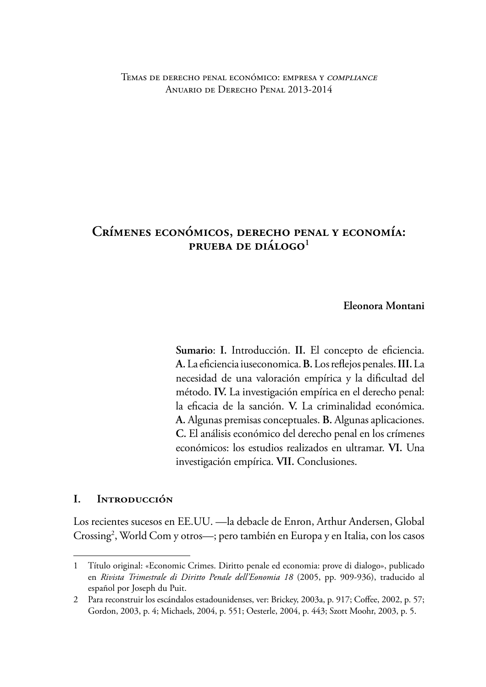#### Temas de derecho penal económico: empresa y compliance Anuario de Derecho Penal 2013-2014

# **CRÍMENES ECONÓMICOS, DERECHO PENAL Y ECONOMÍA: PRUEBA DE DIÁLOGO<sup>1</sup>**

**Eleonora Montani**

Sumario: I. Introducción. II. El concepto de eficiencia. **A.**La efciencia iuseconomica. **B.** Los refejos penales. **III.**La necesidad de una valoración empírica y la difcultad del método. **IV.** La investigación empírica en el derecho penal: la efcacia de la sanción. **V.** La criminalidad económica. **A.** Algunas premisas conceptuales. **B.** Algunas aplicaciones. **C.** El análisis económico del derecho penal en los crímenes económicos: los estudios realizados en ultramar. **VI.** Una investigación empírica. **VII.** Conclusiones.

### **I. INTRODUCCIÓN**

Los recientes sucesos en EE.UU. —la debacle de Enron, Arthur Andersen, Global Crossing<sup>2</sup>, World Com y otros—; pero también en Europa y en Italia, con los casos

<sup>1</sup> Título original: «Economic Crimes. Diritto penale ed economia: prove di dialogo», publicado en *Rivista Trimestrale di Diritto Penale dell'Eonomia 18* (2005, pp. 909-936), traducido al español por Joseph du Puit.

<sup>2</sup> Para reconstruir los escándalos estadounidenses, ver: Brickey, 2003a, p. 917; Coffee, 2002, p. 57; Gordon, 2003, p. 4; Michaels, 2004, p. 551; Oesterle, 2004, p. 443; Szott Moohr, 2003, p. 5.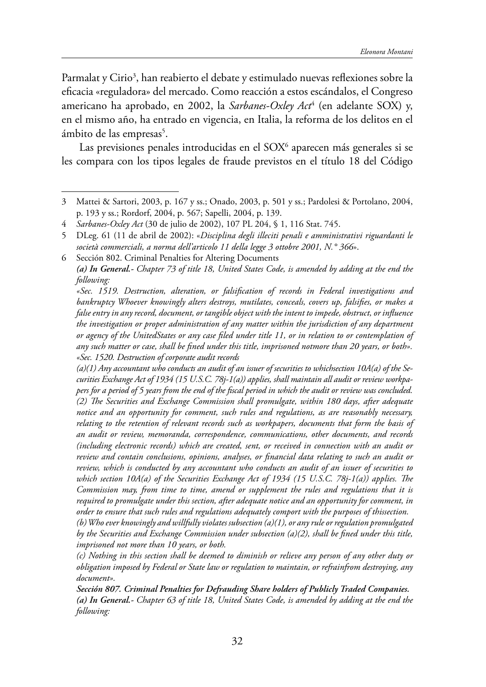Parmalat y Cirio<sup>3</sup>, han reabierto el debate y estimulado nuevas reflexiones sobre la efcacia «reguladora» del mercado. Como reacción a estos escándalos, el Congreso americano ha aprobado, en 2002, la *Sarbanes-Oxley Act*<sup>4</sup> (en adelante SOX) y, en el mismo año, ha entrado en vigencia, en Italia, la reforma de los delitos en el ámbito de las empresas<sup>5</sup>.

Las previsiones penales introducidas en el SOX<sup>6</sup> aparecen más generales si se les compara con los tipos legales de fraude previstos en el título 18 del Código

6 Sección 802. Criminal Penalties for Altering Documents *(a) In General.- Chapter 73 of title 18, United States Code, is amended by adding at the end the following:*

*«Sec. 1519. Destruction, alteration, or falsifcation of records in Federal investigations and bankruptcy Whoever knowingly alters destroys, mutilates, conceals, covers up, falsifes, or makes a false entry in any record, document, or tangible object with the intent to impede, obstruct, or infuence the investigation or proper administration of any matter within the jurisdiction of any department or agency of the UnitedStates or any case fled under title 11, or in relation to or contemplation of any such matter or case, shall be fned under this title, imprisoned notmore than 20 years, or both». «Sec. 1520. Destruction of corporate audit records*

*(a)(1) Any accountant who conducts an audit of an issuer of securities to whichsection 10A(a) of the Securities Exchange Act of 1934 (15 U.S.C. 78j-1(a)) applies, shall maintain all audit or review workpapers for a period of 5 years from the end of the fscal period in which the audit or review was concluded. (2) Te Securities and Exchange Commission shall promulgate, within 180 days, after adequate notice and an opportunity for comment, such rules and regulations, as are reasonably necessary, relating to the retention of relevant records such as workpapers, documents that form the basis of an audit or review, memoranda, correspondence, communications, other documents, and records (including electronic records) which are created, sent, or received in connection with an audit or review and contain conclusions, opinions, analyses, or fnancial data relating to such an audit or review, which is conducted by any accountant who conducts an audit of an issuer of securities to which section 10A(a) of the Securities Exchange Act of 1934 (15 U.S.C. 78j-1(a)) applies. The Commission may, from time to time, amend or supplement the rules and regulations that it is required to promulgate under this section, after adequate notice and an opportunity for comment, in order to ensure that such rules and regulations adequately comport with the purposes of thissection.*

*(b) Who ever knowingly and willfully violates subsection (a)(1), or any rule or regulation promulgated by the Securities and Exchange Commission under subsection (a)(2), shall be fned under this title, imprisoned not more than 10 years, or both.*

*(c) Nothing in this section shall be deemed to diminish or relieve any person of any other duty or obligation imposed by Federal or State law or regulation to maintain, or refrainfrom destroying, any document».*

*Sección 807. Criminal Penalties for Defrauding Share holders of Publicly Traded Companies. (a) In General.- Chapter 63 of title 18, United States Code, is amended by adding at the end the following:*

<sup>3</sup> Mattei & Sartori, 2003, p. 167 y ss.; Onado, 2003, p. 501 y ss.; Pardolesi & Portolano, 2004, p. 193 y ss.; Rordorf, 2004, p. 567; Sapelli, 2004, p. 139.

<sup>4</sup> *Sarbanes-Oxley Act* (30 de julio de 2002), 107 PL 204, § 1, 116 Stat. 745.

<sup>5</sup> DLeg. 61 (11 de abril de 2002): «*Disciplina degli illeciti penali e amministrativi riguardanti le società commerciali, a norma dell'articolo 11 della legge 3 ottobre 2001, N.° 366*».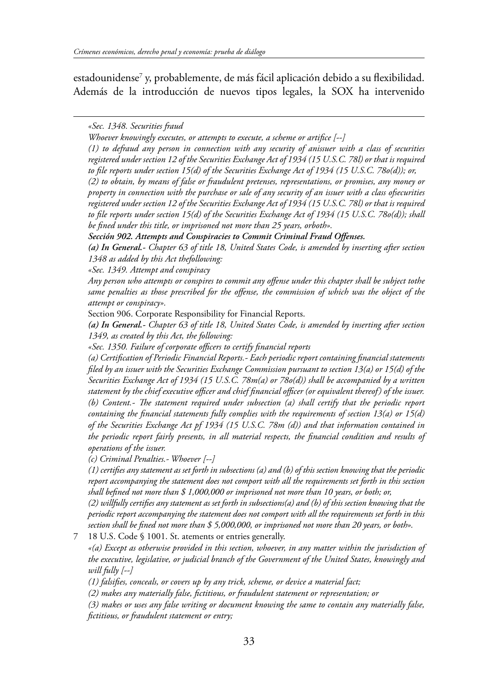estadounidense $^7$  y, probablemente, de más fácil aplicación debido a su flexibilidad. Además de la introducción de nuevos tipos legales, la SOX ha intervenido

*«Sec. 1348. Securities fraud*

*Whoever knowingly executes, or attempts to execute, a scheme or artifce [--]*

*(1) to defraud any person in connection with any security of anissuer with a class of securities registered under section 12 of the Securities Exchange Act of 1934 (15 U.S.C. 78l) or that is required to fle reports under section 15(d) of the Securities Exchange Act of 1934 (15 U.S.C. 78o(d)); or,*

*(2) to obtain, by means of false or fraudulent pretenses, representations, or promises, any money or property in connection with the purchase or sale of any security of an issuer with a class ofsecurities registered under section 12 of the Securities Exchange Act of 1934 (15 U.S.C. 78l) or that is required to fle reports under section 15(d) of the Securities Exchange Act of 1934 (15 U.S.C. 78o(d)); shall be fned under this title, or imprisoned not more than 25 years, orboth».*

*Sección 902. Attempts and Conspiracies to Commit Criminal Fraud Offenses.*

*(a) In General.- Chapter 63 of title 18, United States Code, is amended by inserting after section 1348 as added by this Act thefollowing:*

*«Sec. 1349. Attempt and conspiracy*

*Any person who attempts or conspires to commit any ofense under this chapter shall be subject tothe same penalties as those prescribed for the ofense, the commission of which was the object of the attempt or conspiracy».*

Section 906. Corporate Responsibility for Financial Reports.

*(a) In General.- Chapter 63 of title 18, United States Code, is amended by inserting after section 1349, as created by this Act, the following:*

*«Sec. 1350. Failure of corporate ofcers to certify fnancial reports*

*(a) Certifcation of Periodic Financial Reports.- Each periodic report containing fnancial statements fled by an issuer with the Securities Exchange Commission pursuant to section 13(a) or 15(d) of the Securities Exchange Act of 1934 (15 U.S.C. 78m(a) or 78o(d)) shall be accompanied by a written statement by the chief executive ofcer and chief fnancial ofcer (or equivalent thereof) of the issuer. (b) Content.- Te statement required under subsection (a) shall certify that the periodic report containing the fnancial statements fully complies with the requirements of section 13(a) or 15(d) of the Securities Exchange Act pf 1934 (15 U.S.C. 78m (d)) and that information contained in the periodic report fairly presents, in all material respects, the fnancial condition and results of operations of the issuer.*

*(c) Criminal Penalties.- Whoever [--]*

*(1) certifes any statement as set forth in subsections (a) and (b) of this section knowing that the periodic report accompanying the statement does not comport with all the requirements set forth in this section shall befned not more than \$ 1,000,000 or imprisoned not more than 10 years, or both; or,*

*(2) willfully certifes any statement as set forth in subsections(a) and (b) of this section knowing that the periodic report accompanying the statement does not comport with all the requirements set forth in this section shall be fned not more than \$ 5,000,000, or imprisoned not more than 20 years, or both».*

7 18 U.S. Code § 1001. St. atements or entries generally.

*«(a) Except as otherwise provided in this section, whoever, in any matter within the jurisdiction of the executive, legislative, or judicial branch of the Government of the United States, knowingly and will fully [--]*

*(1) falsifes, conceals, or covers up by any trick, scheme, or device a material fact;*

*(2) makes any materially false, fctitious, or fraudulent statement or representation; or*

*(3) makes or uses any false writing or document knowing the same to contain any materially false, fctitious, or fraudulent statement or entry;*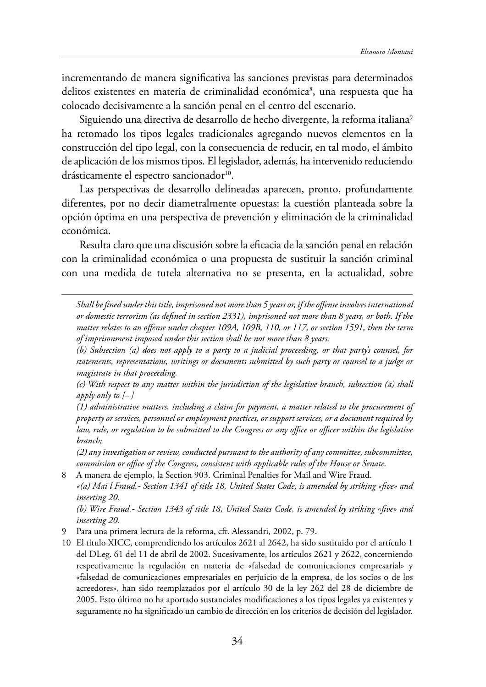incrementando de manera signifcativa las sanciones previstas para determinados delitos existentes en materia de criminalidad económica<sup>8</sup>, una respuesta que ha colocado decisivamente a la sanción penal en el centro del escenario.

Siguiendo una directiva de desarrollo de hecho divergente, la reforma italiana<sup>9</sup> ha retomado los tipos legales tradicionales agregando nuevos elementos en la construcción del tipo legal, con la consecuencia de reducir, en tal modo, el ámbito de aplicación de los mismos tipos. El legislador, además, ha intervenido reduciendo drásticamente el espectro sancionador<sup>10</sup>.

Las perspectivas de desarrollo delineadas aparecen, pronto, profundamente diferentes, por no decir diametralmente opuestas: la cuestión planteada sobre la opción óptima en una perspectiva de prevención y eliminación de la criminalidad económica.

Resulta claro que una discusión sobre la efcacia de la sanción penal en relación con la criminalidad económica o una propuesta de sustituir la sanción criminal con una medida de tutela alternativa no se presenta, en la actualidad, sobre

*Shall be fned under this title, imprisoned not more than 5 years or, if the ofense involves international or domestic terrorism (as defned in section 2331), imprisoned not more than 8 years, or both. If the matter relates to an ofense under chapter 109A, 109B, 110, or 117, or section 1591, then the term of imprisonment imposed under this section shall be not more than 8 years.*

*(b) Subsection (a) does not apply to a party to a judicial proceeding, or that party's counsel, for statements, representations, writings or documents submitted by such party or counsel to a judge or magistrate in that proceeding.*

*(c) With respect to any matter within the jurisdiction of the legislative branch, subsection (a) shall apply only to [--]*

*(1) administrative matters, including a claim for payment, a matter related to the procurement of property or services, personnel or employment practices, or support services, or a document required by law, rule, or regulation to be submitted to the Congress or any ofce or ofcer within the legislative branch;* 

*(2) any investigation or review, conducted pursuant to the authority of any committee, subcommittee, commission or ofce of the Congress, consistent with applicable rules of the House or Senate.*

8 A manera de ejemplo, la Section 903. Criminal Penalties for Mail and Wire Fraud.

*«(a) Mai l Fraud.- Section 1341 of title 18, United States Code, is amended by striking «fve» and inserting 20.*

*(b) Wire Fraud.- Section 1343 of title 18, United States Code, is amended by striking «fve» and inserting 20.*

9 Para una primera lectura de la reforma, cfr. Alessandri, 2002, p. 79.

10 El título XICC, comprendiendo los artículos 2621 al 2642, ha sido sustituido por el artículo 1 del DLeg. 61 del 11 de abril de 2002. Sucesivamente, los artículos 2621 y 2622, concerniendo respectivamente la regulación en materia de «falsedad de comunicaciones empresarial» y «falsedad de comunicaciones empresariales en perjuicio de la empresa, de los socios o de los acreedores», han sido reemplazados por el artículo 30 de la ley 262 del 28 de diciembre de 2005. Esto último no ha aportado sustanciales modifcaciones a los tipos legales ya existentes y seguramente no ha signifcado un cambio de dirección en los criterios de decisión del legislador.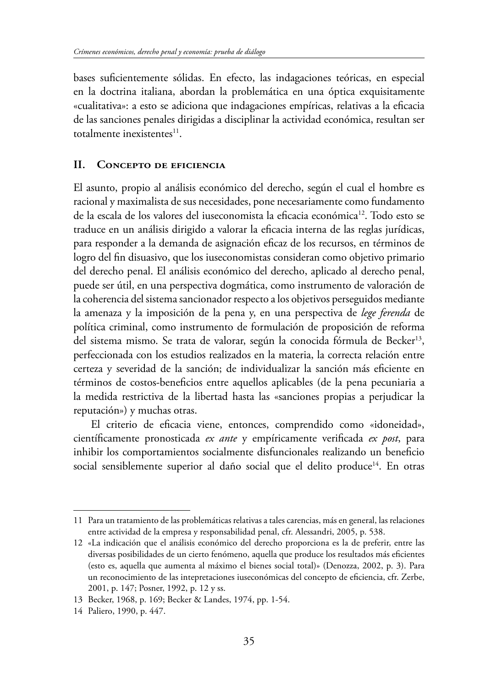bases sufcientemente sólidas. En efecto, las indagaciones teóricas, en especial en la doctrina italiana, abordan la problemática en una óptica exquisitamente «cualitativa»: a esto se adiciona que indagaciones empíricas, relativas a la efcacia de las sanciones penales dirigidas a disciplinar la actividad económica, resultan ser totalmente inexistentes<sup>11</sup>.

### **II. CONCEPTO DE EFICIENCIA**

El asunto, propio al análisis económico del derecho, según el cual el hombre es racional y maximalista de sus necesidades, pone necesariamente como fundamento de la escala de los valores del iuseconomista la eficacia económica<sup>12</sup>. Todo esto se traduce en un análisis dirigido a valorar la efcacia interna de las reglas jurídicas, para responder a la demanda de asignación efcaz de los recursos, en términos de logro del fn disuasivo, que los iuseconomistas consideran como objetivo primario del derecho penal. El análisis económico del derecho, aplicado al derecho penal, puede ser útil, en una perspectiva dogmática, como instrumento de valoración de la coherencia del sistema sancionador respecto a los objetivos perseguidos mediante la amenaza y la imposición de la pena y, en una perspectiva de *lege ferenda* de política criminal, como instrumento de formulación de proposición de reforma del sistema mismo. Se trata de valorar, según la conocida fórmula de Becker<sup>13</sup>, perfeccionada con los estudios realizados en la materia, la correcta relación entre certeza y severidad de la sanción; de individualizar la sanción más efciente en términos de costos-benefcios entre aquellos aplicables (de la pena pecuniaria a la medida restrictiva de la libertad hasta las «sanciones propias a perjudicar la reputación») y muchas otras.

El criterio de efcacia viene, entonces, comprendido como «idoneidad», científcamente pronosticada *ex ante* y empíricamente verifcada *ex post*, para inhibir los comportamientos socialmente disfuncionales realizando un beneficio social sensiblemente superior al daño social que el delito produce<sup>14</sup>. En otras

<sup>11</sup> Para un tratamiento de las problemáticas relativas a tales carencias, más en general, las relaciones entre actividad de la empresa y responsabilidad penal, cfr. Alessandri, 2005, p. 538.

<sup>12</sup> «La indicación que el análisis económico del derecho proporciona es la de preferir, entre las diversas posibilidades de un cierto fenómeno, aquella que produce los resultados más efcientes (esto es, aquella que aumenta al máximo el bienes social total)» (Denozza, 2002, p. 3). Para un reconocimiento de las intepretaciones iuseconómicas del concepto de efciencia, cfr. Zerbe, 2001, p. 147; Posner, 1992, p. 12 y ss.

<sup>13</sup> Becker, 1968, p. 169; Becker & Landes, 1974, pp. 1-54.

<sup>14</sup> Paliero, 1990, p. 447.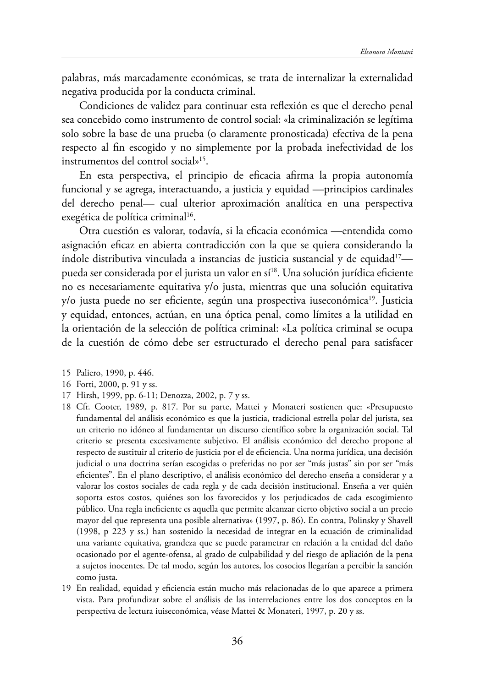palabras, más marcadamente económicas, se trata de internalizar la externalidad negativa producida por la conducta criminal.

Condiciones de validez para continuar esta refexión es que el derecho penal sea concebido como instrumento de control social: «la criminalización se legítima solo sobre la base de una prueba (o claramente pronosticada) efectiva de la pena respecto al fn escogido y no simplemente por la probada inefectividad de los instrumentos del control social»15.

En esta perspectiva, el principio de efcacia afrma la propia autonomía funcional y se agrega, interactuando, a justicia y equidad —principios cardinales del derecho penal— cual ulterior aproximación analítica en una perspectiva exegética de política criminal<sup>16</sup>.

Otra cuestión es valorar, todavía, si la efcacia económica —entendida como asignación efcaz en abierta contradicción con la que se quiera considerando la índole distributiva vinculada a instancias de justicia sustancial y de equidad $^{17}$  pueda ser considerada por el jurista un valor en sí<sup>18</sup>. Una solución jurídica eficiente no es necesariamente equitativa y/o justa, mientras que una solución equitativa y/o justa puede no ser eficiente, según una prospectiva iuseconómica<sup>19</sup>. Justicia y equidad, entonces, actúan, en una óptica penal, como límites a la utilidad en la orientación de la selección de política criminal: «La política criminal se ocupa de la cuestión de cómo debe ser estructurado el derecho penal para satisfacer

<sup>15</sup> Paliero, 1990, p. 446.

<sup>16</sup> Forti, 2000, p. 91 y ss.

<sup>17</sup> Hirsh, 1999, pp. 6-11; Denozza, 2002, p. 7 y ss.

<sup>18</sup> Cfr. Cooter, 1989, p. 817. Por su parte, Mattei y Monateri sostienen que: «Presupuesto fundamental del análisis económico es que la justicia, tradicional estrella polar del jurista, sea un criterio no idóneo al fundamentar un discurso científco sobre la organización social. Tal criterio se presenta excesivamente subjetivo. El análisis económico del derecho propone al respecto de sustituir al criterio de justicia por el de efciencia. Una norma jurídica, una decisión judicial o una doctrina serían escogidas o preferidas no por ser "más justas" sin por ser "más efcientes". En el plano descriptivo, el análisis económico del derecho enseña a considerar y a valorar los costos sociales de cada regla y de cada decisión institucional. Enseña a ver quién soporta estos costos, quiénes son los favorecidos y los perjudicados de cada escogimiento público. Una regla inefciente es aquella que permite alcanzar cierto objetivo social a un precio mayor del que representa una posible alternativa» (1997, p. 86). En contra, Polinsky y Shavell (1998, p 223 y ss.) han sostenido la necesidad de integrar en la ecuación de criminalidad una variante equitativa, grandeza que se puede parametrar en relación a la entidad del daño ocasionado por el agente-ofensa, al grado de culpabilidad y del riesgo de apliación de la pena a sujetos inocentes. De tal modo, según los autores, los cosocios llegarían a percibir la sanción como justa.

<sup>19</sup> En realidad, equidad y efciencia están mucho más relacionadas de lo que aparece a primera vista. Para profundizar sobre el análisis de las interrelaciones entre los dos conceptos en la perspectiva de lectura iuiseconómica, véase Mattei & Monateri, 1997, p. 20 y ss.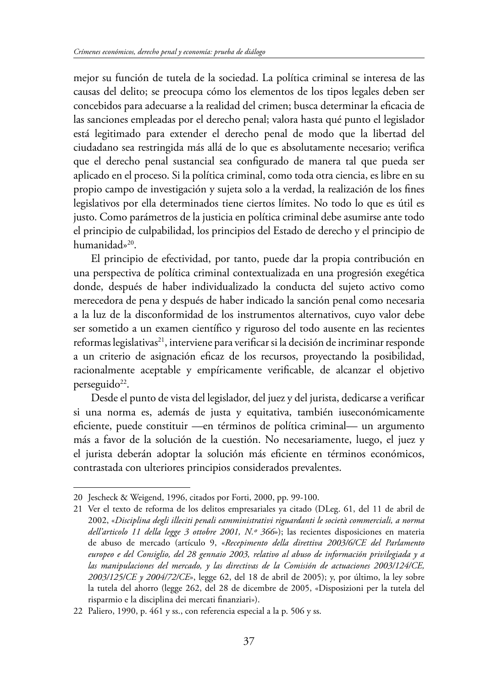mejor su función de tutela de la sociedad. La política criminal se interesa de las causas del delito; se preocupa cómo los elementos de los tipos legales deben ser concebidos para adecuarse a la realidad del crimen; busca determinar la efcacia de las sanciones empleadas por el derecho penal; valora hasta qué punto el legislador está legitimado para extender el derecho penal de modo que la libertad del ciudadano sea restringida más allá de lo que es absolutamente necesario; verifca que el derecho penal sustancial sea confgurado de manera tal que pueda ser aplicado en el proceso. Si la política criminal, como toda otra ciencia, es libre en su propio campo de investigación y sujeta solo a la verdad, la realización de los fnes legislativos por ella determinados tiene ciertos límites. No todo lo que es útil es justo. Como parámetros de la justicia en política criminal debe asumirse ante todo el principio de culpabilidad, los principios del Estado de derecho y el principio de humanidad»<sup>20</sup>.

El principio de efectividad, por tanto, puede dar la propia contribución en una perspectiva de política criminal contextualizada en una progresión exegética donde, después de haber individualizado la conducta del sujeto activo como merecedora de pena y después de haber indicado la sanción penal como necesaria a la luz de la disconformidad de los instrumentos alternativos, cuyo valor debe ser sometido a un examen científco y riguroso del todo ausente en las recientes reformas legislativas<sup>21</sup>, interviene para verificar si la decisión de incriminar responde a un criterio de asignación efcaz de los recursos, proyectando la posibilidad, racionalmente aceptable y empíricamente verifcable, de alcanzar el objetivo perseguido<sup>22</sup>.

Desde el punto de vista del legislador, del juez y del jurista, dedicarse a verifcar si una norma es, además de justa y equitativa, también iuseconómicamente efciente, puede constituir —en términos de política criminal— un argumento más a favor de la solución de la cuestión. No necesariamente, luego, el juez y el jurista deberán adoptar la solución más efciente en términos económicos, contrastada con ulteriores principios considerados prevalentes.

<sup>20</sup> Jescheck & Weigend, 1996, citados por Forti, 2000, pp. 99-100.

<sup>21</sup> Ver el texto de reforma de los delitos empresariales ya citado (DLeg. 61, del 11 de abril de 2002, «*Disciplina degli illeciti penali eamministrativi riguardanti le società commerciali, a norma dell'articolo 11 della legge 3 ottobre 2001, N.º 366*»); las recientes disposiciones en materia de abuso de mercado (artículo 9, «*Recepimento della direttiva 2003/6/CE del Parlamento europeo e del Consiglio, del 28 gennaio 2003, relativo al abuso de información privilegiada y a las manipulaciones del mercado, y las directivas de la Comisión de actuaciones 2003/124/CE, 2003/125/CE y 2004/72/CE*», legge 62, del 18 de abril de 2005); y, por último, la ley sobre la tutela del ahorro (legge 262, del 28 de dicembre de 2005, «Disposizioni per la tutela del risparmio e la disciplina dei mercati fnanziari»).

<sup>22</sup> Paliero, 1990, p. 461 y ss., con referencia especial a la p. 506 y ss.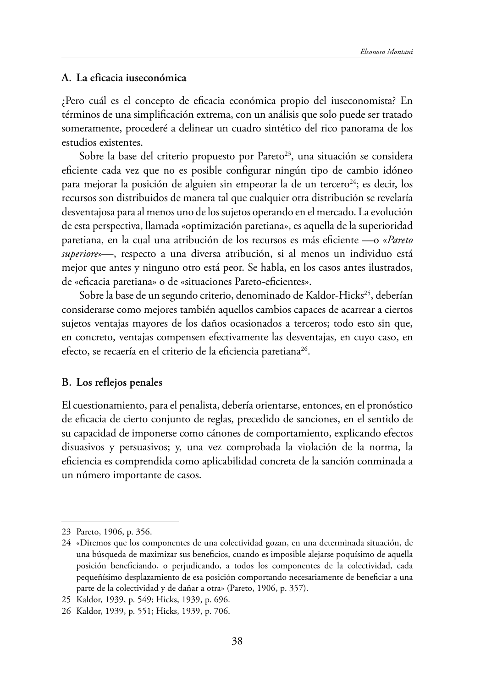#### **A. La eficacia iuseconómica**

¿Pero cuál es el concepto de efcacia económica propio del iuseconomista? En términos de una simplifcación extrema, con un análisis que solo puede ser tratado someramente, procederé a delinear un cuadro sintético del rico panorama de los estudios existentes.

Sobre la base del criterio propuesto por Pareto<sup>23</sup>, una situación se considera efciente cada vez que no es posible confgurar ningún tipo de cambio idóneo para mejorar la posición de alguien sin empeorar la de un tercero<sup>24</sup>; es decir, los recursos son distribuidos de manera tal que cualquier otra distribución se revelaría desventajosa para al menos uno de los sujetos operando en el mercado. La evolución de esta perspectiva, llamada «optimización paretiana», es aquella de la superioridad paretiana, en la cual una atribución de los recursos es más efciente —o «*Pareto superiore*»—, respecto a una diversa atribución, si al menos un individuo está mejor que antes y ninguno otro está peor. Se habla, en los casos antes ilustrados, de «efcacia paretiana» o de «situaciones Pareto-efcientes».

Sobre la base de un segundo criterio, denominado de Kaldor-Hicks<sup>25</sup>, deberían considerarse como mejores también aquellos cambios capaces de acarrear a ciertos sujetos ventajas mayores de los daños ocasionados a terceros; todo esto sin que, en concreto, ventajas compensen efectivamente las desventajas, en cuyo caso, en efecto, se recaería en el criterio de la eficiencia paretiana<sup>26</sup>.

#### **B. Los reflejos penales**

El cuestionamiento, para el penalista, debería orientarse, entonces, en el pronóstico de efcacia de cierto conjunto de reglas, precedido de sanciones, en el sentido de su capacidad de imponerse como cánones de comportamiento, explicando efectos disuasivos y persuasivos; y, una vez comprobada la violación de la norma, la efciencia es comprendida como aplicabilidad concreta de la sanción conminada a un número importante de casos.

<sup>23</sup> Pareto, 1906, p. 356.

<sup>24</sup> «Diremos que los componentes de una colectividad gozan, en una determinada situación, de una búsqueda de maximizar sus benefcios, cuando es imposible alejarse poquísimo de aquella posición benefciando, o perjudicando, a todos los componentes de la colectividad, cada pequeñísimo desplazamiento de esa posición comportando necesariamente de benefciar a una parte de la colectividad y de dañar a otra» (Pareto, 1906, p. 357).

<sup>25</sup> Kaldor, 1939, p. 549; Hicks, 1939, p. 696.

<sup>26</sup> Kaldor, 1939, p. 551; Hicks, 1939, p. 706.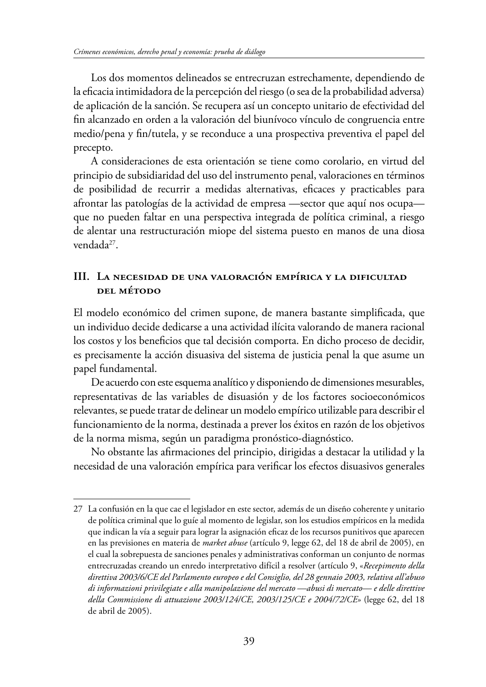Los dos momentos delineados se entrecruzan estrechamente, dependiendo de la efcacia intimidadora de la percepción del riesgo (o sea de la probabilidad adversa) de aplicación de la sanción. Se recupera así un concepto unitario de efectividad del fn alcanzado en orden a la valoración del biunívoco vínculo de congruencia entre medio/pena y fn/tutela, y se reconduce a una prospectiva preventiva el papel del precepto.

A consideraciones de esta orientación se tiene como corolario, en virtud del principio de subsidiaridad del uso del instrumento penal, valoraciones en términos de posibilidad de recurrir a medidas alternativas, efcaces y practicables para afrontar las patologías de la actividad de empresa —sector que aquí nos ocupa que no pueden faltar en una perspectiva integrada de política criminal, a riesgo de alentar una restructuración miope del sistema puesto en manos de una diosa vendada<sup>27</sup>.

# **III. LA NECESIDAD DE UNA VALORACIÓN EMPÍRICA Y LA DIFICULTAD DEL MÉTODO**

El modelo económico del crimen supone, de manera bastante simplifcada, que un individuo decide dedicarse a una actividad ilícita valorando de manera racional los costos y los beneficios que tal decisión comporta. En dicho proceso de decidir, es precisamente la acción disuasiva del sistema de justicia penal la que asume un papel fundamental.

De acuerdo con este esquema analítico y disponiendo de dimensiones mesurables, representativas de las variables de disuasión y de los factores socioeconómicos relevantes, se puede tratar de delinear un modelo empírico utilizable para describir el funcionamiento de la norma, destinada a prever los éxitos en razón de los objetivos de la norma misma, según un paradigma pronóstico-diagnóstico.

No obstante las afrmaciones del principio, dirigidas a destacar la utilidad y la necesidad de una valoración empírica para verifcar los efectos disuasivos generales

<sup>27</sup> La confusión en la que cae el legislador en este sector, además de un diseño coherente y unitario de política criminal que lo guíe al momento de legislar, son los estudios empíricos en la medida que indican la vía a seguir para lograr la asignación efcaz de los recursos punitivos que aparecen en las previsiones en materia de *market abuse* (artículo 9, legge 62, del 18 de abril de 2005), en el cual la sobrepuesta de sanciones penales y administrativas conforman un conjunto de normas entrecruzadas creando un enredo interpretativo difícil a resolver (artículo 9, «*Recepimento della direttiva 2003/6/CE del Parlamento europeo e del Consiglio, del 28 gennaio 2003, relativa all'abuso di informazioni privilegiate e alla manipolazione del mercato —abusi di mercato— e delle direttive della Commissione di attuazione 2003/124/CE, 2003/125/CE e 2004/72/CE*» (legge 62, del 18 de abril de 2005).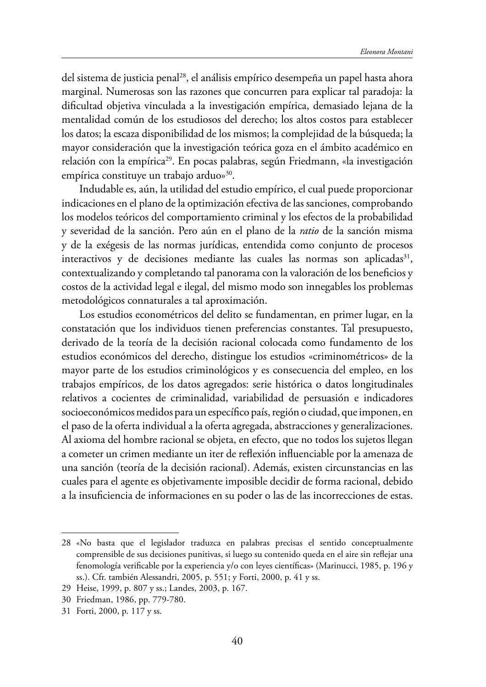del sistema de justicia penal28, el análisis empírico desempeña un papel hasta ahora marginal. Numerosas son las razones que concurren para explicar tal paradoja: la difcultad objetiva vinculada a la investigación empírica, demasiado lejana de la mentalidad común de los estudiosos del derecho; los altos costos para establecer los datos; la escaza disponibilidad de los mismos; la complejidad de la búsqueda; la mayor consideración que la investigación teórica goza en el ámbito académico en relación con la empírica<sup>29</sup>. En pocas palabras, según Friedmann, «la investigación empírica constituye un trabajo arduo»<sup>30</sup>.

Indudable es, aún, la utilidad del estudio empírico, el cual puede proporcionar indicaciones en el plano de la optimización efectiva de las sanciones, comprobando los modelos teóricos del comportamiento criminal y los efectos de la probabilidad y severidad de la sanción. Pero aún en el plano de la *ratio* de la sanción misma y de la exégesis de las normas jurídicas, entendida como conjunto de procesos interactivos y de decisiones mediante las cuales las normas son aplicadas $31$ , contextualizando y completando tal panorama con la valoración de los benefcios y costos de la actividad legal e ilegal, del mismo modo son innegables los problemas metodológicos connaturales a tal aproximación.

Los estudios econométricos del delito se fundamentan, en primer lugar, en la constatación que los individuos tienen preferencias constantes. Tal presupuesto, derivado de la teoría de la decisión racional colocada como fundamento de los estudios económicos del derecho, distingue los estudios «criminométricos» de la mayor parte de los estudios criminológicos y es consecuencia del empleo, en los trabajos empíricos, de los datos agregados: serie histórica o datos longitudinales relativos a cocientes de criminalidad, variabilidad de persuasión e indicadores socioeconómicos medidos para un específco país, región o ciudad, que imponen, en el paso de la oferta individual a la oferta agregada, abstracciones y generalizaciones. Al axioma del hombre racional se objeta, en efecto, que no todos los sujetos llegan a cometer un crimen mediante un iter de refexión infuenciable por la amenaza de una sanción (teoría de la decisión racional). Además, existen circunstancias en las cuales para el agente es objetivamente imposible decidir de forma racional, debido a la insufciencia de informaciones en su poder o las de las incorrecciones de estas.

<sup>28</sup> «No basta que el legislador traduzca en palabras precisas el sentido conceptualmente comprensible de sus decisiones punitivas, si luego su contenido queda en el aire sin refejar una fenomología verifcable por la experiencia y/o con leyes científcas» (Marinucci, 1985, p. 196 y ss.). Cfr. también Alessandri, 2005, p. 551; y Forti, 2000, p. 41 y ss.

<sup>29</sup> Heise, 1999, p. 807 y ss.; Landes, 2003, p. 167.

<sup>30</sup> Friedman, 1986, pp. 779-780.

<sup>31</sup> Forti, 2000, p. 117 y ss.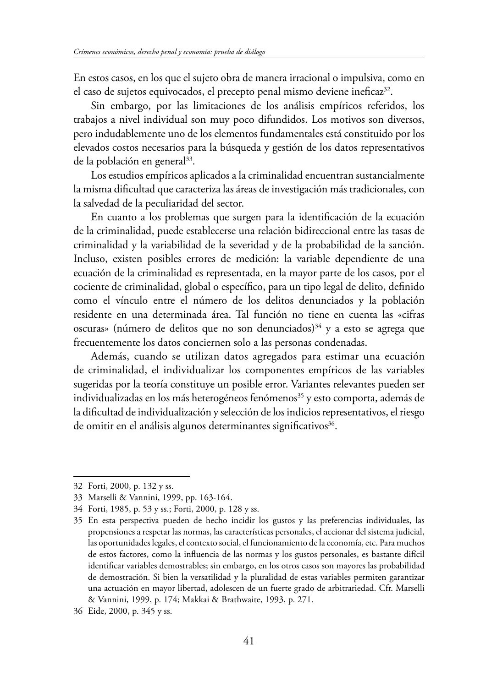En estos casos, en los que el sujeto obra de manera irracional o impulsiva, como en el caso de sujetos equivocados, el precepto penal mismo deviene ineficaz<sup>32</sup>.

Sin embargo, por las limitaciones de los análisis empíricos referidos, los trabajos a nivel individual son muy poco difundidos. Los motivos son diversos, pero indudablemente uno de los elementos fundamentales está constituido por los elevados costos necesarios para la búsqueda y gestión de los datos representativos de la población en general<sup>33</sup>.

Los estudios empíricos aplicados a la criminalidad encuentran sustancialmente la misma difcultad que caracteriza las áreas de investigación más tradicionales, con la salvedad de la peculiaridad del sector.

En cuanto a los problemas que surgen para la identifcación de la ecuación de la criminalidad, puede establecerse una relación bidireccional entre las tasas de criminalidad y la variabilidad de la severidad y de la probabilidad de la sanción. Incluso, existen posibles errores de medición: la variable dependiente de una ecuación de la criminalidad es representada, en la mayor parte de los casos, por el cociente de criminalidad, global o específco, para un tipo legal de delito, defnido como el vínculo entre el número de los delitos denunciados y la población residente en una determinada área. Tal función no tiene en cuenta las «cifras oscuras» (número de delitos que no son denunciados)<sup>34</sup> y a esto se agrega que frecuentemente los datos conciernen solo a las personas condenadas.

Además, cuando se utilizan datos agregados para estimar una ecuación de criminalidad, el individualizar los componentes empíricos de las variables sugeridas por la teoría constituye un posible error. Variantes relevantes pueden ser individualizadas en los más heterogéneos fenómenos<sup>35</sup> y esto comporta, además de la difcultad de individualización y selección de los indicios representativos, el riesgo de omitir en el análisis algunos determinantes significativos<sup>36</sup>.

<sup>32</sup> Forti, 2000, p. 132 y ss.

<sup>33</sup> Marselli & Vannini, 1999, pp. 163-164.

<sup>34</sup> Forti, 1985, p. 53 y ss.; Forti, 2000, p. 128 y ss.

<sup>35</sup> En esta perspectiva pueden de hecho incidir los gustos y las preferencias individuales, las propensiones a respetar las normas, las características personales, el accionar del sistema judicial, las oportunidades legales, el contexto social, el funcionamiento de la economía, etc. Para muchos de estos factores, como la infuencia de las normas y los gustos personales, es bastante difícil identifcar variables demostrables; sin embargo, en los otros casos son mayores las probabilidad de demostración. Si bien la versatilidad y la pluralidad de estas variables permiten garantizar una actuación en mayor libertad, adolescen de un fuerte grado de arbitrariedad. Cfr. Marselli & Vannini, 1999, p. 174; Makkai & Brathwaite, 1993, p. 271.

<sup>36</sup> Eide, 2000, p. 345 y ss.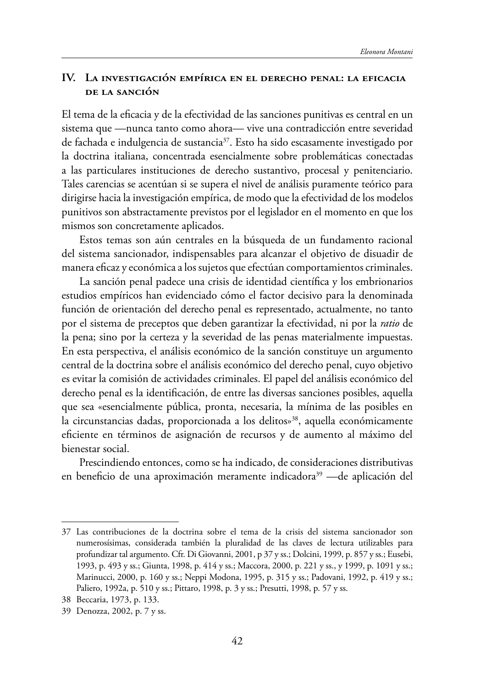## **IV. LA INVESTIGACIÓN EMPÍRICA EN EL DERECHO PENAL: LA EFICACIA DE LA SANCIÓN**

El tema de la efcacia y de la efectividad de las sanciones punitivas es central en un sistema que —nunca tanto como ahora— vive una contradicción entre severidad de fachada e indulgencia de sustancia<sup>37</sup>. Esto ha sido escasamente investigado por la doctrina italiana, concentrada esencialmente sobre problemáticas conectadas a las particulares instituciones de derecho sustantivo, procesal y penitenciario. Tales carencias se acentúan si se supera el nivel de análisis puramente teórico para dirigirse hacia la investigación empírica, de modo que la efectividad de los modelos punitivos son abstractamente previstos por el legislador en el momento en que los mismos son concretamente aplicados.

Estos temas son aún centrales en la búsqueda de un fundamento racional del sistema sancionador, indispensables para alcanzar el objetivo de disuadir de manera efcaz y económica a los sujetos que efectúan comportamientos criminales.

La sanción penal padece una crisis de identidad científca y los embrionarios estudios empíricos han evidenciado cómo el factor decisivo para la denominada función de orientación del derecho penal es representado, actualmente, no tanto por el sistema de preceptos que deben garantizar la efectividad, ni por la *ratio* de la pena; sino por la certeza y la severidad de las penas materialmente impuestas. En esta perspectiva, el análisis económico de la sanción constituye un argumento central de la doctrina sobre el análisis económico del derecho penal, cuyo objetivo es evitar la comisión de actividades criminales. El papel del análisis económico del derecho penal es la identifcación, de entre las diversas sanciones posibles, aquella que sea «esencialmente pública, pronta, necesaria, la mínima de las posibles en la circunstancias dadas, proporcionada a los delitos»<sup>38</sup>, aquella económicamente efciente en términos de asignación de recursos y de aumento al máximo del bienestar social.

Prescindiendo entonces, como se ha indicado, de consideraciones distributivas en beneficio de una aproximación meramente indicadora<sup>39</sup> —de aplicación del

<sup>37</sup> Las contribuciones de la doctrina sobre el tema de la crisis del sistema sancionador son numerosísimas, considerada también la pluralidad de las claves de lectura utilizables para profundizar tal argumento. Cfr. Di Giovanni, 2001, p 37 y ss.; Dolcini, 1999, p. 857 y ss.; Eusebi, 1993, p. 493 y ss.; Giunta, 1998, p. 414 y ss.; Maccora, 2000, p. 221 y ss., y 1999, p. 1091 y ss.; Marinucci, 2000, p. 160 y ss.; Neppi Modona, 1995, p. 315 y ss.; Padovani, 1992, p. 419 y ss.; Paliero, 1992a, p. 510 y ss.; Pittaro, 1998, p. 3 y ss.; Presutti, 1998, p. 57 y ss.

<sup>38</sup> Beccaria, 1973, p. 133.

<sup>39</sup> Denozza, 2002, p. 7 y ss.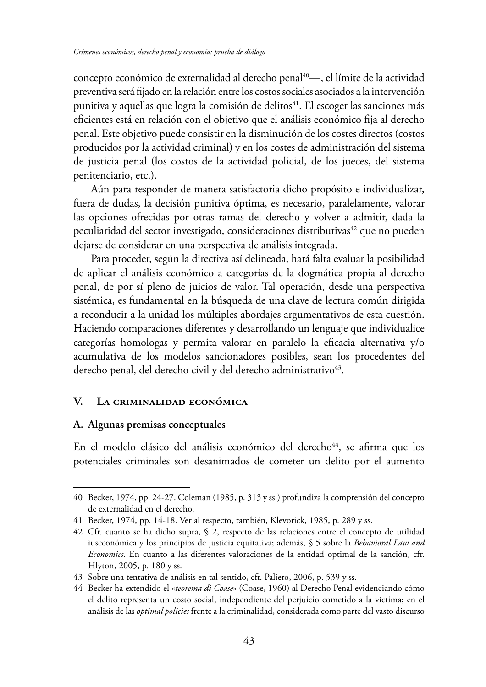concepto económico de externalidad al derecho penal<sup>40</sup>—, el límite de la actividad preventiva será fjado en la relación entre los costos sociales asociados a la intervención punitiva y aquellas que logra la comisión de delitos<sup>41</sup>. El escoger las sanciones más efcientes está en relación con el objetivo que el análisis económico fja al derecho penal. Este objetivo puede consistir en la disminución de los costes directos (costos producidos por la actividad criminal) y en los costes de administración del sistema de justicia penal (los costos de la actividad policial, de los jueces, del sistema penitenciario, etc.).

Aún para responder de manera satisfactoria dicho propósito e individualizar, fuera de dudas, la decisión punitiva óptima, es necesario, paralelamente, valorar las opciones ofrecidas por otras ramas del derecho y volver a admitir, dada la peculiaridad del sector investigado, consideraciones distributivas<sup>42</sup> que no pueden dejarse de considerar en una perspectiva de análisis integrada.

Para proceder, según la directiva así delineada, hará falta evaluar la posibilidad de aplicar el análisis económico a categorías de la dogmática propia al derecho penal, de por sí pleno de juicios de valor. Tal operación, desde una perspectiva sistémica, es fundamental en la búsqueda de una clave de lectura común dirigida a reconducir a la unidad los múltiples abordajes argumentativos de esta cuestión. Haciendo comparaciones diferentes y desarrollando un lenguaje que individualice categorías homologas y permita valorar en paralelo la efcacia alternativa y/o acumulativa de los modelos sancionadores posibles, sean los procedentes del derecho penal, del derecho civil y del derecho administrativo<sup>43</sup>.

## **V. LA CRIMINALIDAD ECONÓMICA**

### **A. Algunas premisas conceptuales**

En el modelo clásico del análisis económico del derecho<sup>44</sup>, se afirma que los potenciales criminales son desanimados de cometer un delito por el aumento

<sup>40</sup> Becker, 1974, pp. 24-27. Coleman (1985, p. 313 y ss.) profundiza la comprensión del concepto de externalidad en el derecho.

<sup>41</sup> Becker, 1974, pp. 14-18. Ver al respecto, también, Klevorick, 1985, p. 289 y ss.

<sup>42</sup> Cfr. cuanto se ha dicho supra, § 2, respecto de las relaciones entre el concepto de utilidad iuseconómica y los principios de justicia equitativa; además, § 5 sobre la *Behavioral Law and Economics*. En cuanto a las diferentes valoraciones de la entidad optimal de la sanción, cfr. Hlyton, 2005, p. 180 y ss.

<sup>43</sup> Sobre una tentativa de análisis en tal sentido, cfr. Paliero, 2006, p. 539 y ss.

<sup>44</sup> Becker ha extendido el «*teorema di Coase*» (Coase, 1960) al Derecho Penal evidenciando cómo el delito representa un costo social, independiente del perjuicio cometido a la víctima; en el análisis de las *optimal policies* frente a la criminalidad, considerada como parte del vasto discurso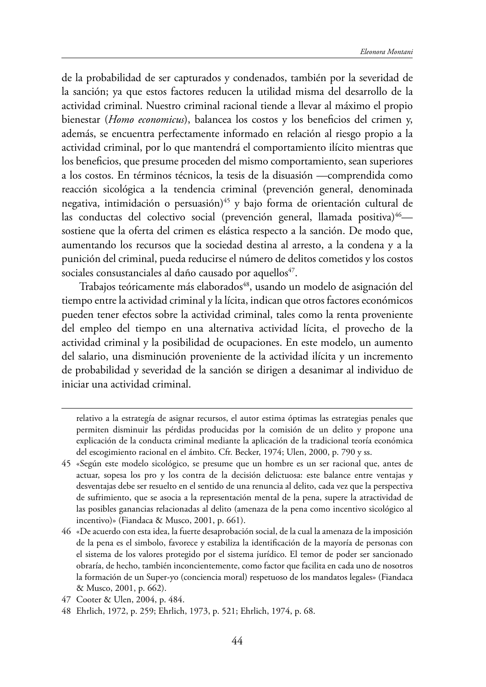de la probabilidad de ser capturados y condenados, también por la severidad de la sanción; ya que estos factores reducen la utilidad misma del desarrollo de la actividad criminal. Nuestro criminal racional tiende a llevar al máximo el propio bienestar (*Homo economicus*), balancea los costos y los benefcios del crimen y, además, se encuentra perfectamente informado en relación al riesgo propio a la actividad criminal, por lo que mantendrá el comportamiento ilícito mientras que los benefcios, que presume proceden del mismo comportamiento, sean superiores a los costos. En términos técnicos, la tesis de la disuasión —comprendida como reacción sicológica a la tendencia criminal (prevención general, denominada negativa, intimidación o persuasión)<sup>45</sup> y bajo forma de orientación cultural de las conductas del colectivo social (prevención general, llamada positiva)<sup>46</sup> sostiene que la oferta del crimen es elástica respecto a la sanción. De modo que, aumentando los recursos que la sociedad destina al arresto, a la condena y a la punición del criminal, pueda reducirse el número de delitos cometidos y los costos sociales consustanciales al daño causado por aquellos<sup>47</sup>.

Trabajos teóricamente más elaborados<sup>48</sup>, usando un modelo de asignación del tiempo entre la actividad criminal y la lícita, indican que otros factores económicos pueden tener efectos sobre la actividad criminal, tales como la renta proveniente del empleo del tiempo en una alternativa actividad lícita, el provecho de la actividad criminal y la posibilidad de ocupaciones. En este modelo, un aumento del salario, una disminución proveniente de la actividad ilícita y un incremento de probabilidad y severidad de la sanción se dirigen a desanimar al individuo de iniciar una actividad criminal.

relativo a la estrategía de asignar recursos, el autor estima óptimas las estrategias penales que permiten disminuir las pérdidas producidas por la comisión de un delito y propone una explicación de la conducta criminal mediante la aplicación de la tradicional teoría económica del escogimiento racional en el ámbito. Cfr. Becker, 1974; Ulen, 2000, p. 790 y ss.

<sup>45</sup> «Según este modelo sicológico, se presume que un hombre es un ser racional que, antes de actuar, sopesa los pro y los contra de la decisión delictuosa: este balance entre ventajas y desventajas debe ser resuelto en el sentido de una renuncia al delito, cada vez que la perspectiva de sufrimiento, que se asocia a la representación mental de la pena, supere la atractividad de las posibles ganancias relacionadas al delito (amenaza de la pena como incentivo sicológico al incentivo)» (Fiandaca & Musco, 2001, p. 661).

<sup>46</sup> «De acuerdo con esta idea, la fuerte desaprobación social, de la cual la amenaza de la imposición de la pena es el simbolo, favorece y estabiliza la identifcación de la mayoría de personas con el sistema de los valores protegido por el sistema jurídico. El temor de poder ser sancionado obraría, de hecho, también inconcientemente, como factor que facilita en cada uno de nosotros la formación de un Super-yo (conciencia moral) respetuoso de los mandatos legales» (Fiandaca & Musco, 2001, p. 662).

<sup>47</sup> Cooter & Ulen, 2004, p. 484.

<sup>48</sup> Ehrlich, 1972, p. 259; Ehrlich, 1973, p. 521; Ehrlich, 1974, p. 68.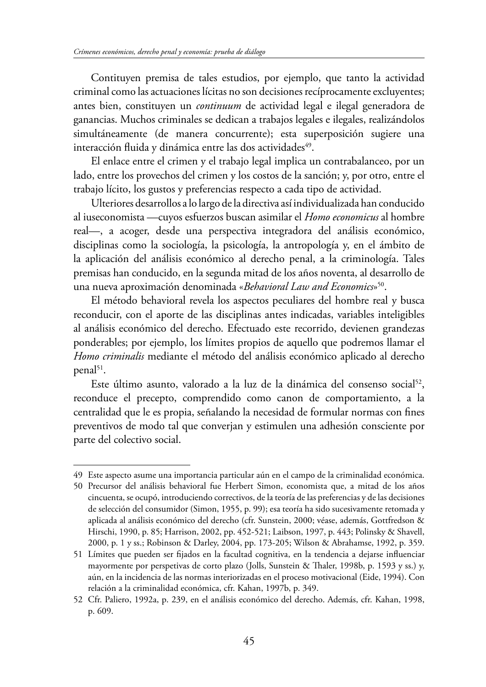Contituyen premisa de tales estudios, por ejemplo, que tanto la actividad criminal como las actuaciones lícitas no son decisiones recíprocamente excluyentes; antes bien, constituyen un *continuum* de actividad legal e ilegal generadora de ganancias. Muchos criminales se dedican a trabajos legales e ilegales, realizándolos simultáneamente (de manera concurrente); esta superposición sugiere una interacción fluida y dinámica entre las dos actividades<sup>49</sup>.

El enlace entre el crimen y el trabajo legal implica un contrabalanceo, por un lado, entre los provechos del crimen y los costos de la sanción; y, por otro, entre el trabajo lícito, los gustos y preferencias respecto a cada tipo de actividad.

Ulteriores desarrollos a lo largo de la directiva así individualizada han conducido al iuseconomista —cuyos esfuerzos buscan asimilar el *Homo economicus* al hombre real—, a acoger, desde una perspectiva integradora del análisis económico, disciplinas como la sociología, la psicología, la antropología y, en el ámbito de la aplicación del análisis económico al derecho penal, a la criminología. Tales premisas han conducido, en la segunda mitad de los años noventa, al desarrollo de una nueva aproximación denominada «*Behavioral Law and Economics*»50.

El método behavioral revela los aspectos peculiares del hombre real y busca reconducir, con el aporte de las disciplinas antes indicadas, variables inteligibles al análisis económico del derecho. Efectuado este recorrido, devienen grandezas ponderables; por ejemplo, los límites propios de aquello que podremos llamar el *Homo criminalis* mediante el método del análisis económico aplicado al derecho penal<sup>51</sup>.

Este último asunto, valorado a la luz de la dinámica del consenso social<sup>52</sup>, reconduce el precepto, comprendido como canon de comportamiento, a la centralidad que le es propia, señalando la necesidad de formular normas con fnes preventivos de modo tal que converjan y estimulen una adhesión consciente por parte del colectivo social.

<sup>49</sup> Este aspecto asume una importancia particular aún en el campo de la criminalidad económica.

<sup>50</sup> Precursor del análisis behavioral fue Herbert Simon, economista que, a mitad de los años cincuenta, se ocupó, introduciendo correctivos, de la teoría de las preferencias y de las decisiones de selección del consumidor (Simon, 1955, p. 99); esa teoría ha sido sucesivamente retomada y aplicada al análisis económico del derecho (cfr. Sunstein, 2000; véase, además, Gottfredson & Hirschi, 1990, p. 85; Harrison, 2002, pp. 452-521; Laibson, 1997, p. 443; Polinsky & Shavell, 2000, p. 1 y ss.; Robinson & Darley, 2004, pp. 173-205; Wilson & Abrahamse, 1992, p. 359.

<sup>51</sup> Límites que pueden ser fjados en la facultad cognitiva, en la tendencia a dejarse infuenciar mayormente por perspetivas de corto plazo (Jolls, Sunstein & Thaler, 1998b, p. 1593 y ss.) y, aún, en la incidencia de las normas interiorizadas en el proceso motivacional (Eide, 1994). Con relación a la criminalidad económica, cfr. Kahan, 1997b, p. 349.

<sup>52</sup> Cfr. Paliero, 1992a, p. 239, en el análisis económico del derecho. Además, cfr. Kahan, 1998, p. 609.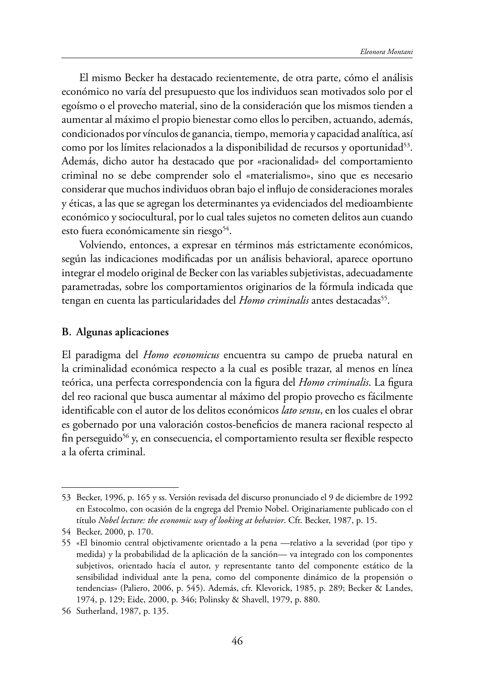El mismo Becker ha destacado recientemente, de otra parte, cómo el análisis económico no varía del presupuesto que los individuos sean motivados solo por el egoísmo o el provecho material, sino de la consideración que los mismos tienden a aumentar al máximo el propio bienestar como ellos lo perciben, actuando, además, condicionados por vínculos de ganancia, tiempo, memoria y capacidad analítica, así como por los límites relacionados a la disponibilidad de recursos y oportunidad<sup>53</sup>. Además, dicho autor ha destacado que por «racionalidad» del comportamiento criminal no se debe comprender solo el «materialismo», sino que es necesario considerar que muchos individuos obran bajo el infujo de consideraciones morales y éticas, a las que se agregan los determinantes ya evidenciados del medioambiente económico y sociocultural, por lo cual tales sujetos no cometen delitos aun cuando esto fuera económicamente sin riesgo $54$ .

Volviendo, entonces, a expresar en términos más estrictamente económicos, según las indicaciones modifcadas por un análisis behavioral, aparece oportuno integrar el modelo original de Becker con las variables subjetivistas, adecuadamente parametradas, sobre los comportamientos originarios de la fórmula indicada que tengan en cuenta las particularidades del *Homo criminalis* antes destacadas<sup>55</sup>.

#### **B. Algunas aplicaciones**

El paradigma del *Homo economicus* encuentra su campo de prueba natural en la criminalidad económica respecto a la cual es posible trazar, al menos en línea teórica, una perfecta correspondencia con la fgura del *Homo criminalis*. La fgura del reo racional que busca aumentar al máximo del propio provecho es fácilmente identifcable con el autor de los delitos económicos *lato sensu*, en los cuales el obrar es gobernado por una valoración costos-benefcios de manera racional respecto al fin perseguido<sup>56</sup> y, en consecuencia, el comportamiento resulta ser flexible respecto a la oferta criminal.

<sup>53</sup> Becker, 1996, p. 165 y ss. Versión revisada del discurso pronunciado el 9 de diciembre de 1992 en Estocolmo, con ocasión de la engrega del Premio Nobel. Originariamente publicado con el título *Nobel lecture: the economic way of looking at behavior*. Cfr. Becker, 1987, p. 15.

<sup>54</sup> Becker, 2000, p. 170.

<sup>55</sup> «El binomio central objetivamente orientado a la pena —relativo a la severidad (por tipo y medida) y la probabilidad de la aplicación de la sanción— va integrado con los componentes subjetivos, orientado hacía el autor, y representante tanto del componente estático de la sensibilidad individual ante la pena, como del componente dinámico de la propensión o tendencias» (Paliero, 2006, p. 545). Además, cfr. Klevorick, 1985, p. 289; Becker & Landes, 1974, p. 129; Eide, 2000, p. 346; Polinsky & Shavell, 1979, p. 880.

<sup>56</sup> Sutherland, 1987, p. 135.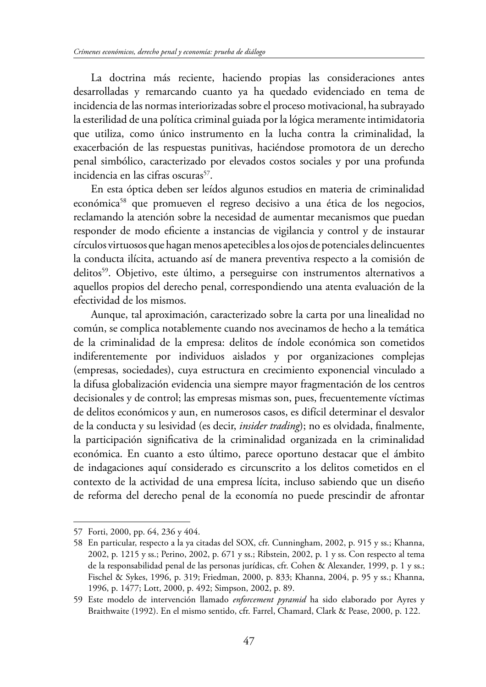La doctrina más reciente, haciendo propias las consideraciones antes desarrolladas y remarcando cuanto ya ha quedado evidenciado en tema de incidencia de las normas interiorizadas sobre el proceso motivacional, ha subrayado la esterilidad de una política criminal guiada por la lógica meramente intimidatoria que utiliza, como único instrumento en la lucha contra la criminalidad, la exacerbación de las respuestas punitivas, haciéndose promotora de un derecho penal simbólico, caracterizado por elevados costos sociales y por una profunda incidencia en las cifras oscuras<sup>57</sup>.

En esta óptica deben ser leídos algunos estudios en materia de criminalidad económica<sup>58</sup> que promueven el regreso decisivo a una ética de los negocios, reclamando la atención sobre la necesidad de aumentar mecanismos que puedan responder de modo efciente a instancias de vigilancia y control y de instaurar círculos virtuosos que hagan menos apetecibles a los ojos de potenciales delincuentes la conducta ilícita, actuando así de manera preventiva respecto a la comisión de delitos<sup>59</sup>. Objetivo, este último, a perseguirse con instrumentos alternativos a aquellos propios del derecho penal, correspondiendo una atenta evaluación de la efectividad de los mismos.

Aunque, tal aproximación, caracterizado sobre la carta por una linealidad no común, se complica notablemente cuando nos avecinamos de hecho a la temática de la criminalidad de la empresa: delitos de índole económica son cometidos indiferentemente por individuos aislados y por organizaciones complejas (empresas, sociedades), cuya estructura en crecimiento exponencial vinculado a la difusa globalización evidencia una siempre mayor fragmentación de los centros decisionales y de control; las empresas mismas son, pues, frecuentemente víctimas de delitos económicos y aun, en numerosos casos, es difícil determinar el desvalor de la conducta y su lesividad (es decir, *insider trading*); no es olvidada, fnalmente, la participación signifcativa de la criminalidad organizada en la criminalidad económica. En cuanto a esto último, parece oportuno destacar que el ámbito de indagaciones aquí considerado es circunscrito a los delitos cometidos en el contexto de la actividad de una empresa lícita, incluso sabiendo que un diseño de reforma del derecho penal de la economía no puede prescindir de afrontar

<sup>57</sup> Forti, 2000, pp. 64, 236 y 404.

<sup>58</sup> En particular, respecto a la ya citadas del SOX, cfr. Cunningham, 2002, p. 915 y ss.; Khanna, 2002, p. 1215 y ss.; Perino, 2002, p. 671 y ss.; Ribstein, 2002, p. 1 y ss. Con respecto al tema de la responsabilidad penal de las personas jurídicas, cfr. Cohen & Alexander, 1999, p. 1 y ss.; Fischel & Sykes, 1996, p. 319; Friedman, 2000, p. 833; Khanna, 2004, p. 95 y ss.; Khanna, 1996, p. 1477; Lott, 2000, p. 492; Simpson, 2002, p. 89.

<sup>59</sup> Este modelo de intervención llamado *enforcement pyramid* ha sido elaborado por Ayres y Braithwaite (1992). En el mismo sentido, cfr. Farrel, Chamard, Clark & Pease, 2000, p. 122.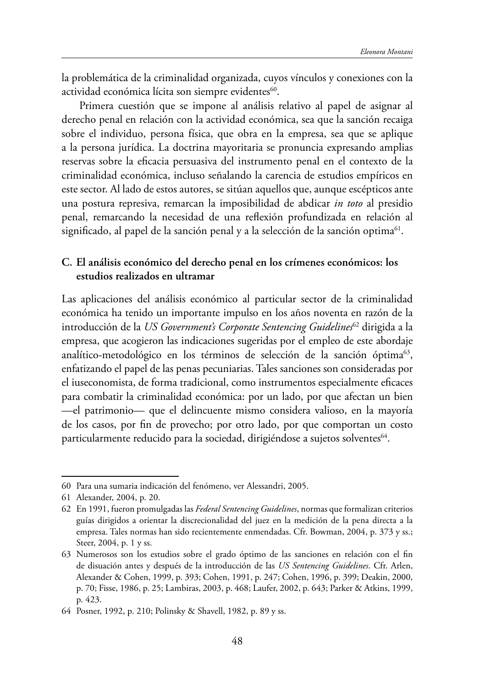la problemática de la criminalidad organizada, cuyos vínculos y conexiones con la actividad económica lícita son siempre evidentes<sup>60</sup>.

Primera cuestión que se impone al análisis relativo al papel de asignar al derecho penal en relación con la actividad económica, sea que la sanción recaiga sobre el individuo, persona física, que obra en la empresa, sea que se aplique a la persona jurídica. La doctrina mayoritaria se pronuncia expresando amplias reservas sobre la efcacia persuasiva del instrumento penal en el contexto de la criminalidad económica, incluso señalando la carencia de estudios empíricos en este sector. Al lado de estos autores, se sitúan aquellos que, aunque escépticos ante una postura represiva, remarcan la imposibilidad de abdicar *in toto* al presidio penal, remarcando la necesidad de una refexión profundizada en relación al significado, al papel de la sanción penal y a la selección de la sanción optima $^{61}$ .

## **C. El análisis económico del derecho penal en los crímenes económicos: los estudios realizados en ultramar**

Las aplicaciones del análisis económico al particular sector de la criminalidad económica ha tenido un importante impulso en los años noventa en razón de la introducción de la *US Government's Corporate Sentencing Guidelines*<sup>62</sup> dirigida a la empresa, que acogieron las indicaciones sugeridas por el empleo de este abordaje analítico-metodológico en los términos de selección de la sanción óptima<sup>63</sup>, enfatizando el papel de las penas pecuniarias. Tales sanciones son consideradas por el iuseconomista, de forma tradicional, como instrumentos especialmente efcaces para combatir la criminalidad económica: por un lado, por que afectan un bien —el patrimonio— que el delincuente mismo considera valioso, en la mayoría de los casos, por fn de provecho; por otro lado, por que comportan un costo particularmente reducido para la sociedad, dirigiéndose a sujetos solventes<sup>64</sup>.

<sup>60</sup> Para una sumaria indicación del fenómeno, ver Alessandri, 2005.

<sup>61</sup> Alexander, 2004, p. 20.

<sup>62</sup> En 1991, fueron promulgadas las *Federal Sentencing Guidelines*, normas que formalizan criterios guías dirigidos a orientar la discrecionalidad del juez en la medición de la pena directa a la empresa. Tales normas han sido recientemente enmendadas. Cfr. Bowman, 2004, p. 373 y ss.; Steer, 2004, p. 1 y ss.

<sup>63</sup> Numerosos son los estudios sobre el grado óptimo de las sanciones en relación con el fn de disuación antes y después de la introducción de las *US Sentencing Guidelines*. Cfr. Arlen, Alexander & Cohen, 1999, p. 393; Cohen, 1991, p. 247; Cohen, 1996, p. 399; Deakin, 2000, p. 70; Fisse, 1986, p. 25; Lambiras, 2003, p. 468; Laufer, 2002, p. 643; Parker & Atkins, 1999, p. 423.

<sup>64</sup> Posner, 1992, p. 210; Polinsky & Shavell, 1982, p. 89 y ss.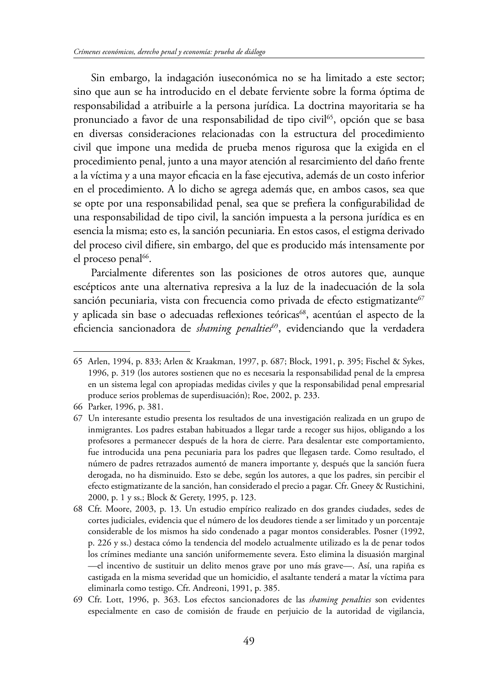Sin embargo, la indagación iuseconómica no se ha limitado a este sector; sino que aun se ha introducido en el debate ferviente sobre la forma óptima de responsabilidad a atribuirle a la persona jurídica. La doctrina mayoritaria se ha pronunciado a favor de una responsabilidad de tipo civil<sup>65</sup>, opción que se basa en diversas consideraciones relacionadas con la estructura del procedimiento civil que impone una medida de prueba menos rigurosa que la exigida en el procedimiento penal, junto a una mayor atención al resarcimiento del daño frente a la víctima y a una mayor efcacia en la fase ejecutiva, además de un costo inferior en el procedimiento. A lo dicho se agrega además que, en ambos casos, sea que se opte por una responsabilidad penal, sea que se prefera la confgurabilidad de una responsabilidad de tipo civil, la sanción impuesta a la persona jurídica es en esencia la misma; esto es, la sanción pecuniaria. En estos casos, el estigma derivado del proceso civil difere, sin embargo, del que es producido más intensamente por el proceso penal<sup>66</sup>.

Parcialmente diferentes son las posiciones de otros autores que, aunque escépticos ante una alternativa represiva a la luz de la inadecuación de la sola sanción pecuniaria, vista con frecuencia como privada de efecto estigmatizante<sup>67</sup> y aplicada sin base o adecuadas reflexiones teóricas<sup>68</sup>, acentúan el aspecto de la eficiencia sancionadora de *shaming penalties<sup>69</sup>*, evidenciando que la verdadera

<sup>65</sup> Arlen, 1994, p. 833; Arlen & Kraakman, 1997, p. 687; Block, 1991, p. 395; Fischel & Sykes, 1996, p. 319 (los autores sostienen que no es necesaria la responsabilidad penal de la empresa en un sistema legal con apropiadas medidas civiles y que la responsabilidad penal empresarial produce serios problemas de superdisuación); Roe, 2002, p. 233.

<sup>66</sup> Parker, 1996, p. 381.

<sup>67</sup> Un interesante estudio presenta los resultados de una investigación realizada en un grupo de inmigrantes. Los padres estaban habituados a llegar tarde a recoger sus hijos, obligando a los profesores a permanecer después de la hora de cierre. Para desalentar este comportamiento, fue introducida una pena pecuniaria para los padres que llegasen tarde. Como resultado, el número de padres retrazados aumentó de manera importante y, después que la sanción fuera derogada, no ha disminuido. Esto se debe, según los autores, a que los padres, sin percibir el efecto estigmatizante de la sanción, han considerado el precio a pagar. Cfr. Gneey & Rustichini, 2000, p. 1 y ss.; Block & Gerety, 1995, p. 123.

<sup>68</sup> Cfr. Moore, 2003, p. 13. Un estudio empírico realizado en dos grandes ciudades, sedes de cortes judiciales, evidencia que el número de los deudores tiende a ser limitado y un porcentaje considerable de los mismos ha sido condenado a pagar montos considerables. Posner (1992, p. 226 y ss.) destaca cómo la tendencia del modelo actualmente utilizado es la de penar todos los crímines mediante una sanción uniformemente severa. Esto elimina la disuasión marginal —el incentivo de sustituir un delito menos grave por uno más grave—. Así, una rapiña es castigada en la misma severidad que un homicidio, el asaltante tenderá a matar la víctima para eliminarla como testigo. Cfr. Andreoni, 1991, p. 385.

<sup>69</sup> Cfr. Lott, 1996, p. 363. Los efectos sancionadores de las *shaming penalties* son evidentes especialmente en caso de comisión de fraude en perjuicio de la autoridad de vigilancia,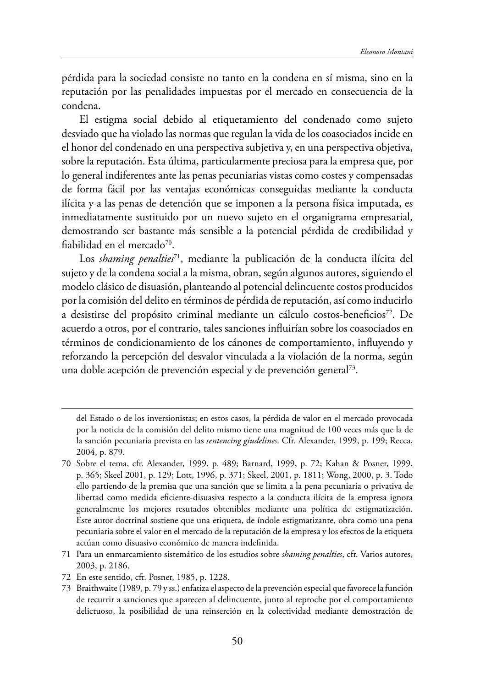pérdida para la sociedad consiste no tanto en la condena en sí misma, sino en la reputación por las penalidades impuestas por el mercado en consecuencia de la condena.

El estigma social debido al etiquetamiento del condenado como sujeto desviado que ha violado las normas que regulan la vida de los coasociados incide en el honor del condenado en una perspectiva subjetiva y, en una perspectiva objetiva, sobre la reputación. Esta última, particularmente preciosa para la empresa que, por lo general indiferentes ante las penas pecuniarias vistas como costes y compensadas de forma fácil por las ventajas económicas conseguidas mediante la conducta ilícita y a las penas de detención que se imponen a la persona física imputada, es inmediatamente sustituido por un nuevo sujeto en el organigrama empresarial, demostrando ser bastante más sensible a la potencial pérdida de credibilidad y fiabilidad en el mercado<sup>70</sup>.

Los *shaming penalties*<sup>71</sup>, mediante la publicación de la conducta ilícita del sujeto y de la condena social a la misma, obran, según algunos autores, siguiendo el modelo clásico de disuasión, planteando al potencial delincuente costos producidos por la comisión del delito en términos de pérdida de reputación, así como inducirlo a desistirse del propósito criminal mediante un cálculo costos-beneficios<sup>72</sup>. De acuerdo a otros, por el contrario, tales sanciones infuirían sobre los coasociados en términos de condicionamiento de los cánones de comportamiento, infuyendo y reforzando la percepción del desvalor vinculada a la violación de la norma, según una doble acepción de prevención especial y de prevención general<sup>73</sup>.

- 71 Para un enmarcamiento sistemático de los estudios sobre *shaming penalties*, cfr. Varios autores, 2003, p. 2186.
- 72 En este sentido, cfr. Posner, 1985, p. 1228.

del Estado o de los inversionistas; en estos casos, la pérdida de valor en el mercado provocada por la noticia de la comisión del delito mismo tiene una magnitud de 100 veces más que la de la sanción pecuniaria prevista en las *sentencing giudelines*. Cfr. Alexander, 1999, p. 199; Recca, 2004, p. 879.

<sup>70</sup> Sobre el tema, cfr. Alexander, 1999, p. 489; Barnard, 1999, p. 72; Kahan & Posner, 1999, p. 365; Skeel 2001, p. 129; Lott, 1996, p. 371; Skeel, 2001, p. 1811; Wong, 2000, p. 3. Todo ello partiendo de la premisa que una sanción que se limita a la pena pecuniaria o privativa de libertad como medida efciente-disuasiva respecto a la conducta ilícita de la empresa ignora generalmente los mejores resutados obtenibles mediante una política de estigmatización. Este autor doctrinal sostiene que una etiqueta, de índole estigmatizante, obra como una pena pecuniaria sobre el valor en el mercado de la reputación de la empresa y los efectos de la etiqueta actúan como disuasivo económico de manera indefnida.

<sup>73</sup> Braithwaite (1989, p. 79 y ss.) enfatiza el aspecto de la prevención especial que favorece la función de recurrir a sanciones que aparecen al delincuente, junto al reproche por el comportamiento delictuoso, la posibilidad de una reinserción en la colectividad mediante demostración de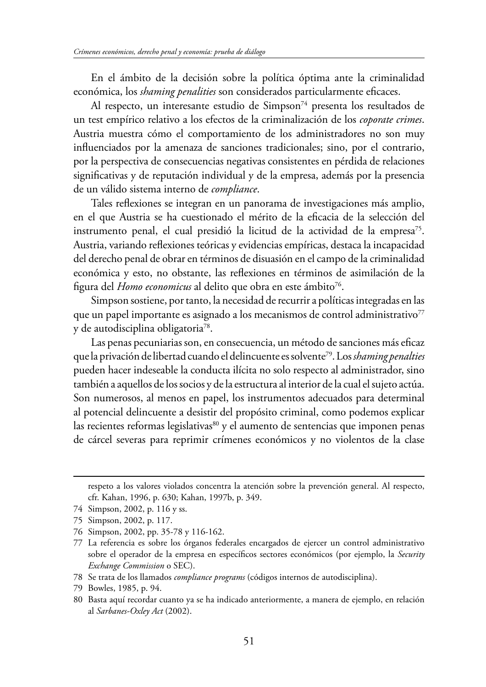En el ámbito de la decisión sobre la política óptima ante la criminalidad económica, los *shaming penalities* son considerados particularmente efcaces.

Al respecto, un interesante estudio de Simpson<sup>74</sup> presenta los resultados de un test empírico relativo a los efectos de la criminalización de los *coporate crimes*. Austria muestra cómo el comportamiento de los administradores no son muy infuenciados por la amenaza de sanciones tradicionales; sino, por el contrario, por la perspectiva de consecuencias negativas consistentes en pérdida de relaciones signifcativas y de reputación individual y de la empresa, además por la presencia de un válido sistema interno de *compliance*.

Tales refexiones se integran en un panorama de investigaciones más amplio, en el que Austria se ha cuestionado el mérito de la efcacia de la selección del instrumento penal, el cual presidió la licitud de la actividad de la empresa<sup>75</sup>. Austria, variando refexiones teóricas y evidencias empíricas, destaca la incapacidad del derecho penal de obrar en términos de disuasión en el campo de la criminalidad económica y esto, no obstante, las refexiones en términos de asimilación de la figura del *Homo economicus* al delito que obra en este ámbito<sup>76</sup>.

Simpson sostiene, por tanto, la necesidad de recurrir a políticas integradas en las que un papel importante es asignado a los mecanismos de control administrativo $77$ y de autodisciplina obligatoria78.

Las penas pecuniarias son, en consecuencia, un método de sanciones más eficaz que la privación de libertad cuando el delincuente es solvente79. Los *shaming penalties* pueden hacer indeseable la conducta ilícita no solo respecto al administrador, sino también a aquellos de los socios y de la estructura al interior de la cual el sujeto actúa. Son numerosos, al menos en papel, los instrumentos adecuados para determinal al potencial delincuente a desistir del propósito criminal, como podemos explicar las recientes reformas legislativas<sup>80</sup> y el aumento de sentencias que imponen penas de cárcel severas para reprimir crímenes económicos y no violentos de la clase

respeto a los valores violados concentra la atención sobre la prevención general. Al respecto, cfr. Kahan, 1996, p. 630; Kahan, 1997b, p. 349.

<sup>74</sup> Simpson, 2002, p. 116 y ss.

<sup>75</sup> Simpson, 2002, p. 117.

<sup>76</sup> Simpson, 2002, pp. 35-78 y 116-162.

<sup>77</sup> La referencia es sobre los órganos federales encargados de ejercer un control administrativo sobre el operador de la empresa en específcos sectores económicos (por ejemplo, la *Security Exchange Commission* o SEC).

<sup>78</sup> Se trata de los llamados *compliance programs* (códigos internos de autodisciplina).

<sup>79</sup> Bowles, 1985, p. 94.

<sup>80</sup> Basta aquí recordar cuanto ya se ha indicado anteriormente, a manera de ejemplo, en relación al *Sarbanes-Oxley Act* (2002).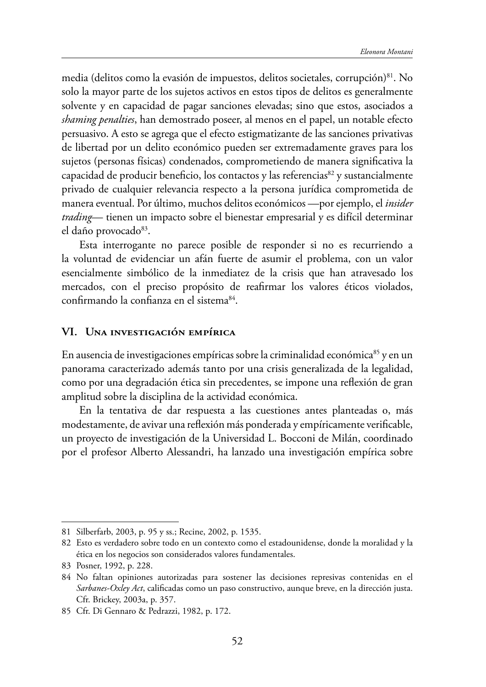media (delitos como la evasión de impuestos, delitos societales, corrupción)<sup>81</sup>. No solo la mayor parte de los sujetos activos en estos tipos de delitos es generalmente solvente y en capacidad de pagar sanciones elevadas; sino que estos, asociados a *shaming penalties*, han demostrado poseer, al menos en el papel, un notable efecto persuasivo. A esto se agrega que el efecto estigmatizante de las sanciones privativas de libertad por un delito económico pueden ser extremadamente graves para los sujetos (personas físicas) condenados, comprometiendo de manera signifcativa la capacidad de producir beneficio, los contactos y las referencias $^{82}$  y sustancialmente privado de cualquier relevancia respecto a la persona jurídica comprometida de manera eventual. Por último, muchos delitos económicos —por ejemplo, el *insider trading*— tienen un impacto sobre el bienestar empresarial y es difícil determinar el daño provocado $83$ .

Esta interrogante no parece posible de responder si no es recurriendo a la voluntad de evidenciar un afán fuerte de asumir el problema, con un valor esencialmente simbólico de la inmediatez de la crisis que han atravesado los mercados, con el preciso propósito de reafrmar los valores éticos violados, confirmando la confianza en el sistema<sup>84</sup>.

### **VI. UNA INVESTIGACIÓN EMPÍRICA**

En ausencia de investigaciones empíricas sobre la criminalidad económica<sup>85</sup> y en un panorama caracterizado además tanto por una crisis generalizada de la legalidad, como por una degradación ética sin precedentes, se impone una refexión de gran amplitud sobre la disciplina de la actividad económica.

En la tentativa de dar respuesta a las cuestiones antes planteadas o, más modestamente, de avivar una refexión más ponderada y empíricamente verifcable, un proyecto de investigación de la Universidad L. Bocconi de Milán, coordinado por el profesor Alberto Alessandri, ha lanzado una investigación empírica sobre

<sup>81</sup> Silberfarb, 2003, p. 95 y ss.; Recine, 2002, p. 1535.

<sup>82</sup> Esto es verdadero sobre todo en un contexto como el estadounidense, donde la moralidad y la ética en los negocios son considerados valores fundamentales.

<sup>83</sup> Posner, 1992, p. 228.

<sup>84</sup> No faltan opiniones autorizadas para sostener las decisiones represivas contenidas en el *Sarbanes-Oxley Act*, califcadas como un paso constructivo, aunque breve, en la dirección justa. Cfr. Brickey, 2003a, p. 357.

<sup>85</sup> Cfr. Di Gennaro & Pedrazzi, 1982, p. 172.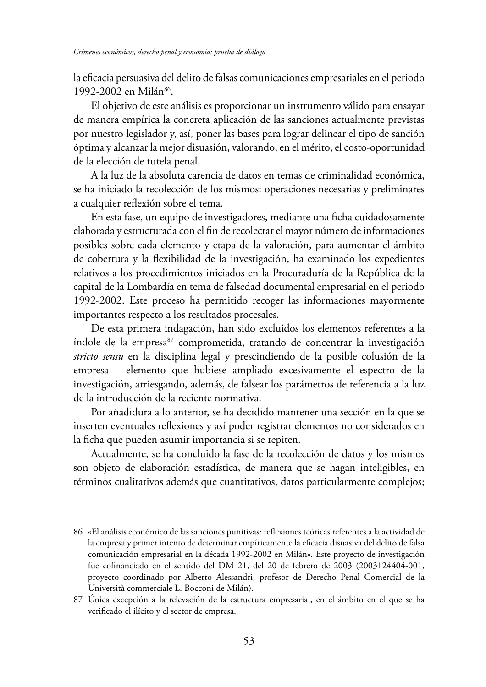la efcacia persuasiva del delito de falsas comunicaciones empresariales en el periodo 1992-2002 en Milán<sup>86</sup>.

El objetivo de este análisis es proporcionar un instrumento válido para ensayar de manera empírica la concreta aplicación de las sanciones actualmente previstas por nuestro legislador y, así, poner las bases para lograr delinear el tipo de sanción óptima y alcanzar la mejor disuasión, valorando, en el mérito, el costo-oportunidad de la elección de tutela penal.

A la luz de la absoluta carencia de datos en temas de criminalidad económica, se ha iniciado la recolección de los mismos: operaciones necesarias y preliminares a cualquier refexión sobre el tema.

En esta fase, un equipo de investigadores, mediante una fcha cuidadosamente elaborada y estructurada con el fn de recolectar el mayor número de informaciones posibles sobre cada elemento y etapa de la valoración, para aumentar el ámbito de cobertura y la fexibilidad de la investigación, ha examinado los expedientes relativos a los procedimientos iniciados en la Procuraduría de la República de la capital de la Lombardía en tema de falsedad documental empresarial en el periodo 1992-2002. Este proceso ha permitido recoger las informaciones mayormente importantes respecto a los resultados procesales.

De esta primera indagación, han sido excluidos los elementos referentes a la índole de la empresa<sup>87</sup> comprometida, tratando de concentrar la investigación *stricto sensu* en la disciplina legal y prescindiendo de la posible colusión de la empresa —elemento que hubiese ampliado excesivamente el espectro de la investigación, arriesgando, además, de falsear los parámetros de referencia a la luz de la introducción de la reciente normativa.

Por añadidura a lo anterior, se ha decidido mantener una sección en la que se inserten eventuales refexiones y así poder registrar elementos no considerados en la fcha que pueden asumir importancia si se repiten.

Actualmente, se ha concluido la fase de la recolección de datos y los mismos son objeto de elaboración estadística, de manera que se hagan inteligibles, en términos cualitativos además que cuantitativos, datos particularmente complejos;

<sup>86</sup> «El análisis económico de las sanciones punitivas: refexiones teóricas referentes a la actividad de la empresa y primer intento de determinar empíricamente la efcacia disuasiva del delito de falsa comunicación empresarial en la década 1992-2002 en Milán». Este proyecto de investigación fue cofnanciado en el sentido del DM 21, del 20 de febrero de 2003 (2003124404-001, proyecto coordinado por Alberto Alessandri, profesor de Derecho Penal Comercial de la Università commerciale L. Bocconi de Milán).

<sup>87</sup> Única excepción a la relevación de la estructura empresarial, en el ámbito en el que se ha verifcado el ilícito y el sector de empresa.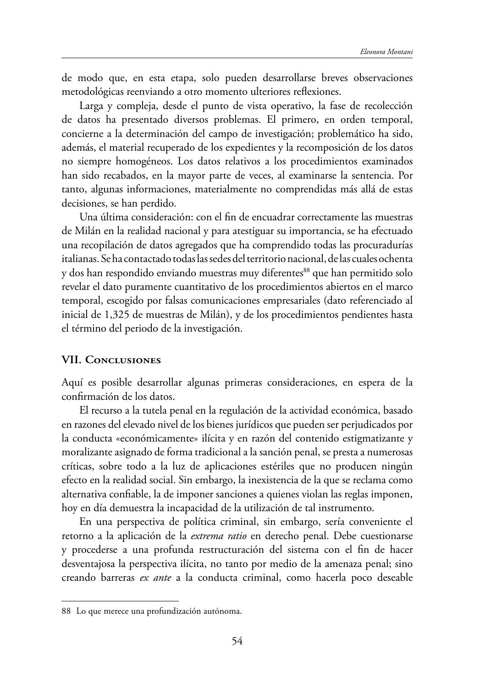de modo que, en esta etapa, solo pueden desarrollarse breves observaciones metodológicas reenviando a otro momento ulteriores refexiones.

Larga y compleja, desde el punto de vista operativo, la fase de recolección de datos ha presentado diversos problemas. El primero, en orden temporal, concierne a la determinación del campo de investigación; problemático ha sido, además, el material recuperado de los expedientes y la recomposición de los datos no siempre homogéneos. Los datos relativos a los procedimientos examinados han sido recabados, en la mayor parte de veces, al examinarse la sentencia. Por tanto, algunas informaciones, materialmente no comprendidas más allá de estas decisiones, se han perdido.

Una última consideración: con el fn de encuadrar correctamente las muestras de Milán en la realidad nacional y para atestiguar su importancia, se ha efectuado una recopilación de datos agregados que ha comprendido todas las procuradurías italianas. Se ha contactado todas las sedes del territorio nacional, de las cuales ochenta y dos han respondido enviando muestras muy diferentes<sup>88</sup> que han permitido solo revelar el dato puramente cuantitativo de los procedimientos abiertos en el marco temporal, escogido por falsas comunicaciones empresariales (dato referenciado al inicial de 1,325 de muestras de Milán), y de los procedimientos pendientes hasta el término del periodo de la investigación.

### **VII. CONCLUSIONES**

Aquí es posible desarrollar algunas primeras consideraciones, en espera de la confrmación de los datos.

El recurso a la tutela penal en la regulación de la actividad económica, basado en razones del elevado nivel de los bienes jurídicos que pueden ser perjudicados por la conducta «económicamente» ilícita y en razón del contenido estigmatizante y moralizante asignado de forma tradicional a la sanción penal, se presta a numerosas críticas, sobre todo a la luz de aplicaciones estériles que no producen ningún efecto en la realidad social. Sin embargo, la inexistencia de la que se reclama como alternativa confable, la de imponer sanciones a quienes violan las reglas imponen, hoy en día demuestra la incapacidad de la utilización de tal instrumento.

En una perspectiva de política criminal, sin embargo, sería conveniente el retorno a la aplicación de la *extrema ratio* en derecho penal. Debe cuestionarse y procederse a una profunda restructuración del sistema con el fn de hacer desventajosa la perspectiva ilícita, no tanto por medio de la amenaza penal; sino creando barreras *ex ante* a la conducta criminal, como hacerla poco deseable

<sup>88</sup> Lo que merece una profundización autónoma.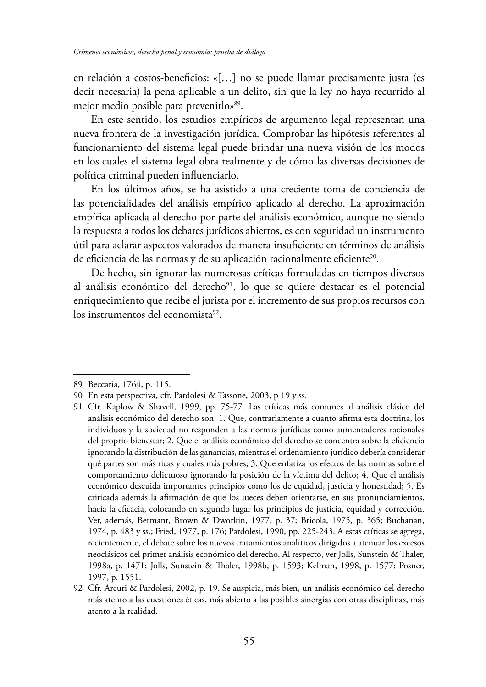en relación a costos-beneficios: «[...] no se puede llamar precisamente justa (es decir necesaria) la pena aplicable a un delito, sin que la ley no haya recurrido al mejor medio posible para prevenirlo»89.

En este sentido, los estudios empíricos de argumento legal representan una nueva frontera de la investigación jurídica. Comprobar las hipótesis referentes al funcionamiento del sistema legal puede brindar una nueva visión de los modos en los cuales el sistema legal obra realmente y de cómo las diversas decisiones de política criminal pueden infuenciarlo.

En los últimos años, se ha asistido a una creciente toma de conciencia de las potencialidades del análisis empírico aplicado al derecho. La aproximación empírica aplicada al derecho por parte del análisis económico, aunque no siendo la respuesta a todos los debates jurídicos abiertos, es con seguridad un instrumento útil para aclarar aspectos valorados de manera insufciente en términos de análisis de eficiencia de las normas y de su aplicación racionalmente eficiente<sup>90</sup>.

De hecho, sin ignorar las numerosas críticas formuladas en tiempos diversos al análisis económico del derecho<sup>91</sup>, lo que se quiere destacar es el potencial enriquecimiento que recibe el jurista por el incremento de sus propios recursos con los instrumentos del economista<sup>92</sup>.

<sup>89</sup> Beccaria, 1764, p. 115.

<sup>90</sup> En esta perspectiva, cfr. Pardolesi & Tassone, 2003, p 19 y ss.

<sup>91</sup> Cfr. Kaplow & Shavell, 1999, pp. 75-77. Las críticas más comunes al análisis clásico del análisis económico del derecho son: 1. Que, contrariamente a cuanto afrma esta doctrina, los individuos y la sociedad no responden a las normas jurídicas como aumentadores racionales del proprio bienestar; 2. Que el análisis económico del derecho se concentra sobre la efciencia ignorando la distribución de las ganancias, mientras el ordenamiento jurídico debería considerar qué partes son más ricas y cuales más pobres; 3. Que enfatiza los efectos de las normas sobre el comportamiento delictuoso ignorando la posición de la víctima del delito; 4. Que el análisis económico descuida importantes principios como los de equidad, justicia y honestidad; 5. Es criticada además la afrmación de que los jueces deben orientarse, en sus pronunciamientos, hacía la efcacia, colocando en segundo lugar los principios de justicia, equidad y corrección. Ver, además, Bermant, Brown & Dworkin, 1977, p. 37; Bricola, 1975, p. 365; Buchanan, 1974, p. 483 y ss.; Fried, 1977, p. 176; Pardolesi, 1990, pp. 225-243. A estas críticas se agrega, recientemente, el debate sobre los nuevos tratamientos analíticos dirigidos a atenuar los excesos neoclásicos del primer análisis económico del derecho. Al respecto, ver Jolls, Sunstein & Thaler, 1998a, p. 1471; Jolls, Sunstein & Taler, 1998b, p. 1593; Kelman, 1998, p. 1577; Posner, 1997, p. 1551.

<sup>92</sup> Cfr. Arcuri & Pardolesi, 2002, p. 19. Se auspicia, más bien, un análisis económico del derecho más atento a las cuestiones éticas, más abierto a las posibles sinergias con otras disciplinas, más atento a la realidad.